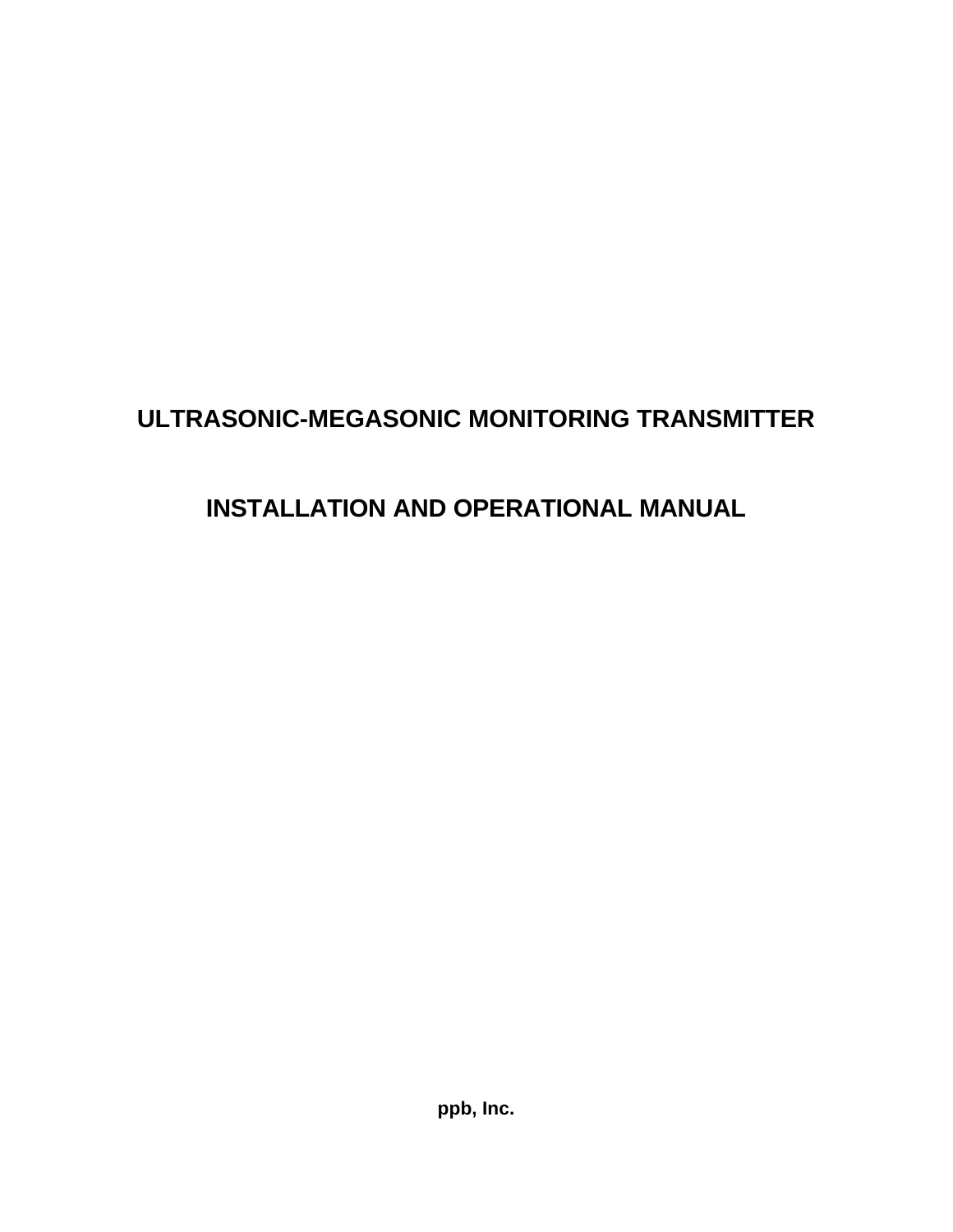# **ULTRASONIC-MEGASONIC MONITORING TRANSMITTER**

# **INSTALLATION AND OPERATIONAL MANUAL**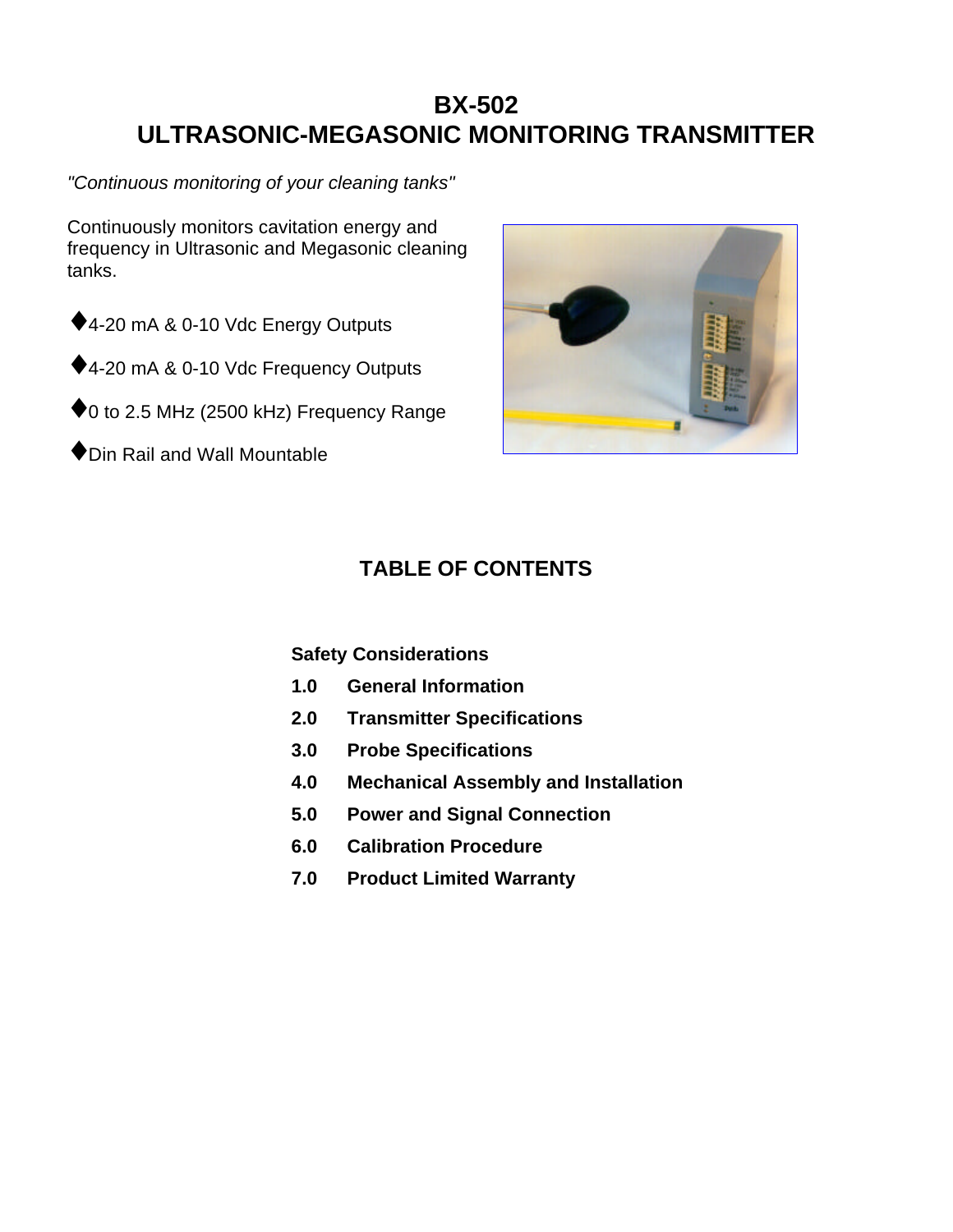# **BX-502 ULTRASONIC-MEGASONIC MONITORING TRANSMITTER**

*"Continuous monitoring of your cleaning tanks"*

Continuously monitors cavitation energy and frequency in Ultrasonic and Megasonic cleaning tanks.

- ◆ 4-20 mA & 0-10 Vdc Energy Outputs
- ◆4-20 mA & 0-10 Vdc Frequency Outputs
- ◆ 0 to 2.5 MHz (2500 kHz) Frequency Range
- ♦Din Rail and Wall Mountable



# **TABLE OF CONTENTS**

**Safety Considerations**

- **1.0 General Information**
- **2.0 Transmitter Specifications**
- **3.0 Probe Specifications**
- **4.0 Mechanical Assembly and Installation**
- **5.0 Power and Signal Connection**
- **6.0 Calibration Procedure**
- **7.0 Product Limited Warranty**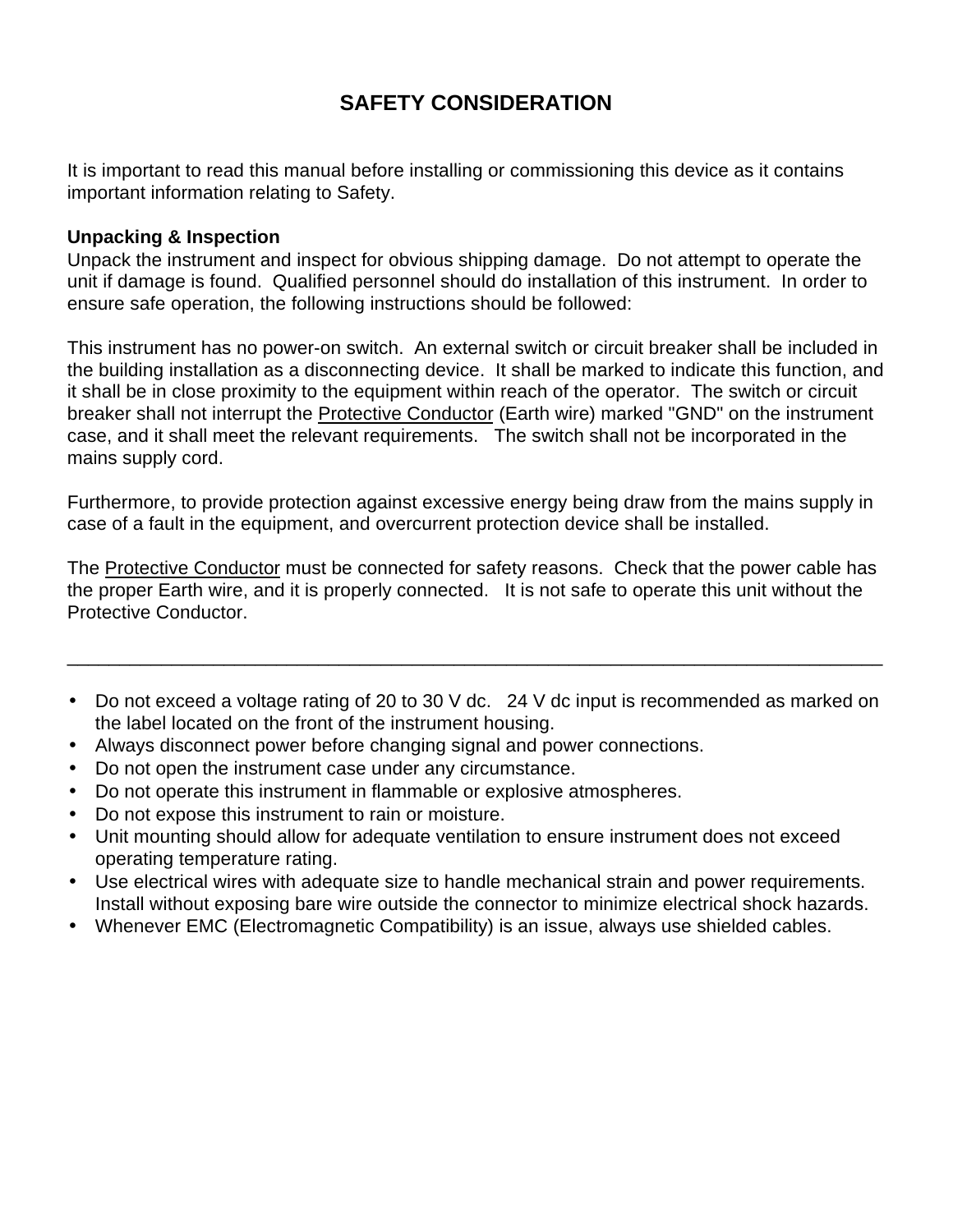# **SAFETY CONSIDERATION**

It is important to read this manual before installing or commissioning this device as it contains important information relating to Safety.

#### **Unpacking & Inspection**

Unpack the instrument and inspect for obvious shipping damage. Do not attempt to operate the unit if damage is found. Qualified personnel should do installation of this instrument. In order to ensure safe operation, the following instructions should be followed:

This instrument has no power-on switch. An external switch or circuit breaker shall be included in the building installation as a disconnecting device. It shall be marked to indicate this function, and it shall be in close proximity to the equipment within reach of the operator. The switch or circuit breaker shall not interrupt the Protective Conductor (Earth wire) marked "GND" on the instrument case, and it shall meet the relevant requirements. The switch shall not be incorporated in the mains supply cord.

Furthermore, to provide protection against excessive energy being draw from the mains supply in case of a fault in the equipment, and overcurrent protection device shall be installed.

The Protective Conductor must be connected for safety reasons. Check that the power cable has the proper Earth wire, and it is properly connected. It is not safe to operate this unit without the Protective Conductor.

• Do not exceed a voltage rating of 20 to 30 V dc. 24 V dc input is recommended as marked on the label located on the front of the instrument housing.

\_\_\_\_\_\_\_\_\_\_\_\_\_\_\_\_\_\_\_\_\_\_\_\_\_\_\_\_\_\_\_\_\_\_\_\_\_\_\_\_\_\_\_\_\_\_\_\_\_\_\_\_\_\_\_\_\_\_\_\_\_\_\_\_\_\_\_\_\_\_\_\_\_\_\_\_\_\_

- Always disconnect power before changing signal and power connections.
- Do not open the instrument case under any circumstance.
- Do not operate this instrument in flammable or explosive atmospheres.
- Do not expose this instrument to rain or moisture.
- Unit mounting should allow for adequate ventilation to ensure instrument does not exceed operating temperature rating.
- Use electrical wires with adequate size to handle mechanical strain and power requirements. Install without exposing bare wire outside the connector to minimize electrical shock hazards.
- Whenever EMC (Electromagnetic Compatibility) is an issue, always use shielded cables.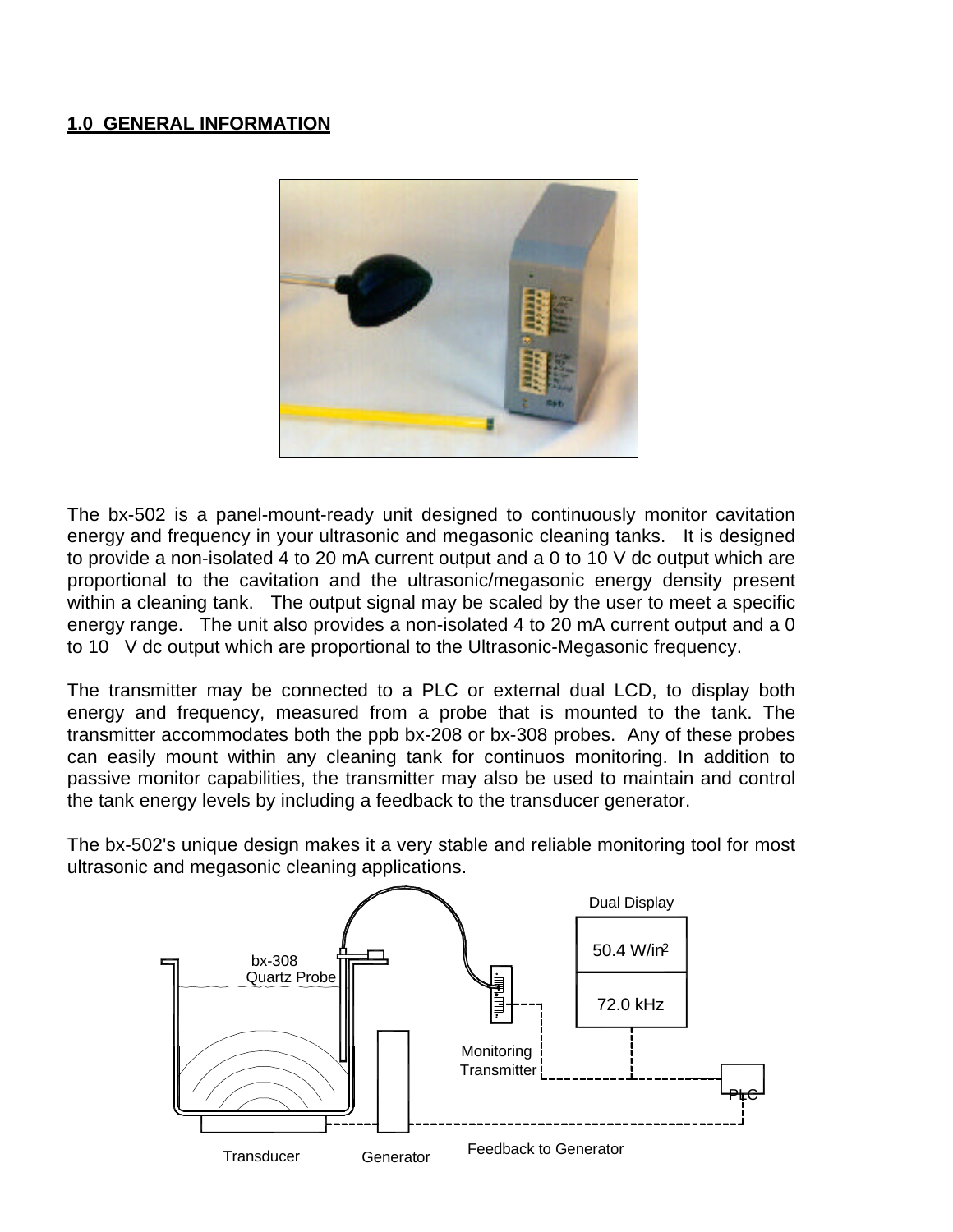#### **1.0 GENERAL INFORMATION**



The bx-502 is a panel-mount-ready unit designed to continuously monitor cavitation energy and frequency in your ultrasonic and megasonic cleaning tanks. It is designed to provide a non-isolated 4 to 20 mA current output and a 0 to 10 V dc output which are proportional to the cavitation and the ultrasonic/megasonic energy density present within a cleaning tank. The output signal may be scaled by the user to meet a specific energy range. The unit also provides a non-isolated 4 to 20 mA current output and a 0 to 10 V dc output which are proportional to the Ultrasonic-Megasonic frequency.

The transmitter may be connected to a PLC or external dual LCD, to display both energy and frequency, measured from a probe that is mounted to the tank. The transmitter accommodates both the ppb bx-208 or bx-308 probes. Any of these probes can easily mount within any cleaning tank for continuos monitoring. In addition to passive monitor capabilities, the transmitter may also be used to maintain and control the tank energy levels by including a feedback to the transducer generator.

The bx-502's unique design makes it a very stable and reliable monitoring tool for most ultrasonic and megasonic cleaning applications.

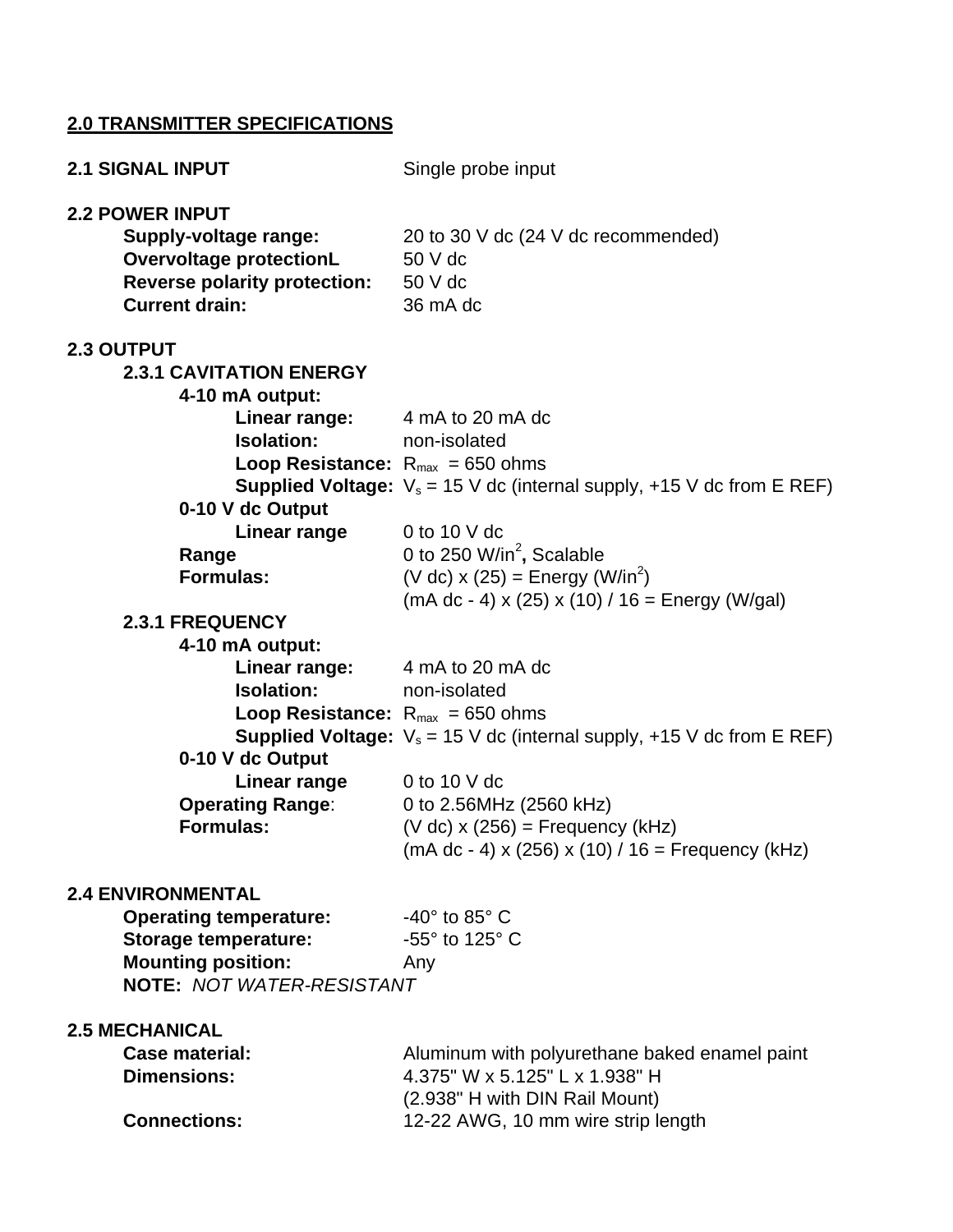# **2.0 TRANSMITTER SPECIFICATIONS**

| <b>2.1 SIGNAL INPUT</b>                                                                                                                                                                                                                           | Single probe input                                                                                                                                                                                                                                                                             |
|---------------------------------------------------------------------------------------------------------------------------------------------------------------------------------------------------------------------------------------------------|------------------------------------------------------------------------------------------------------------------------------------------------------------------------------------------------------------------------------------------------------------------------------------------------|
| <b>2.2 POWER INPUT</b><br><b>Supply-voltage range:</b><br><b>Overvoltage protectionL</b><br><b>Reverse polarity protection:</b> 50 V dc<br><b>Current drain:</b>                                                                                  | 20 to 30 V dc (24 V dc recommended)<br>50 V dc<br>36 mA dc                                                                                                                                                                                                                                     |
| 2.3 OUTPUT<br><b>2.3.1 CAVITATION ENERGY</b><br>4-10 mA output:<br><b>Linear range:</b> 4 mA to 20 mA dc<br><b>Isolation:</b><br><b>Loop Resistance:</b> $R_{max} = 650$ ohms<br>0-10 V dc Output<br>Linear range                                 | non-isolated<br><b>Supplied Voltage:</b> $V_s = 15$ V dc (internal supply, +15 V dc from E REF)<br>0 to 10 $V$ dc                                                                                                                                                                              |
| Range<br><b>Formulas:</b>                                                                                                                                                                                                                         | 0 to 250 W/in <sup>2</sup> , Scalable<br>(V dc) $x(25)$ = Energy (W/in <sup>2</sup> )                                                                                                                                                                                                          |
| <b>2.3.1 FREQUENCY</b><br>4-10 mA output:<br><b>Linear range:</b> 4 mA to 20 mA dc<br><b>Isolation:</b><br><b>Loop Resistance:</b> $R_{max} = 650$ ohms<br>0-10 V dc Output<br><b>Linear range</b><br><b>Operating Range:</b><br><b>Formulas:</b> | $(mA dc - 4)$ x (25) x (10) / 16 = Energy (W/gal)<br>non-isolated<br><b>Supplied Voltage:</b> $V_s = 15$ V dc (internal supply, +15 V dc from E REF)<br>0 to 10 $V$ dc<br>0 to 2.56MHz (2560 kHz)<br>$(V dc)$ x (256) = Frequency (kHz)<br>$(mA dc - 4)$ x (256) x (10) / 16 = Frequency (kHz) |
| <b>2.4 ENVIRONMENTAL</b><br><b>Operating temperature:</b><br><b>Storage temperature:</b><br><b>Mounting position:</b><br><b>NOTE: NOT WATER-RESISTANT</b>                                                                                         | $-40^\circ$ to 85 $^\circ$ C<br>-55° to 125° C<br>Any                                                                                                                                                                                                                                          |
| <b>2.5 MECHANICAL</b><br><b>Case material:</b><br><b>Dimensions:</b><br><b>Connections:</b>                                                                                                                                                       | Aluminum with polyurethane baked enamel paint<br>4.375" W x 5.125" L x 1.938" H<br>(2.938" H with DIN Rail Mount)<br>12-22 AWG, 10 mm wire strip length                                                                                                                                        |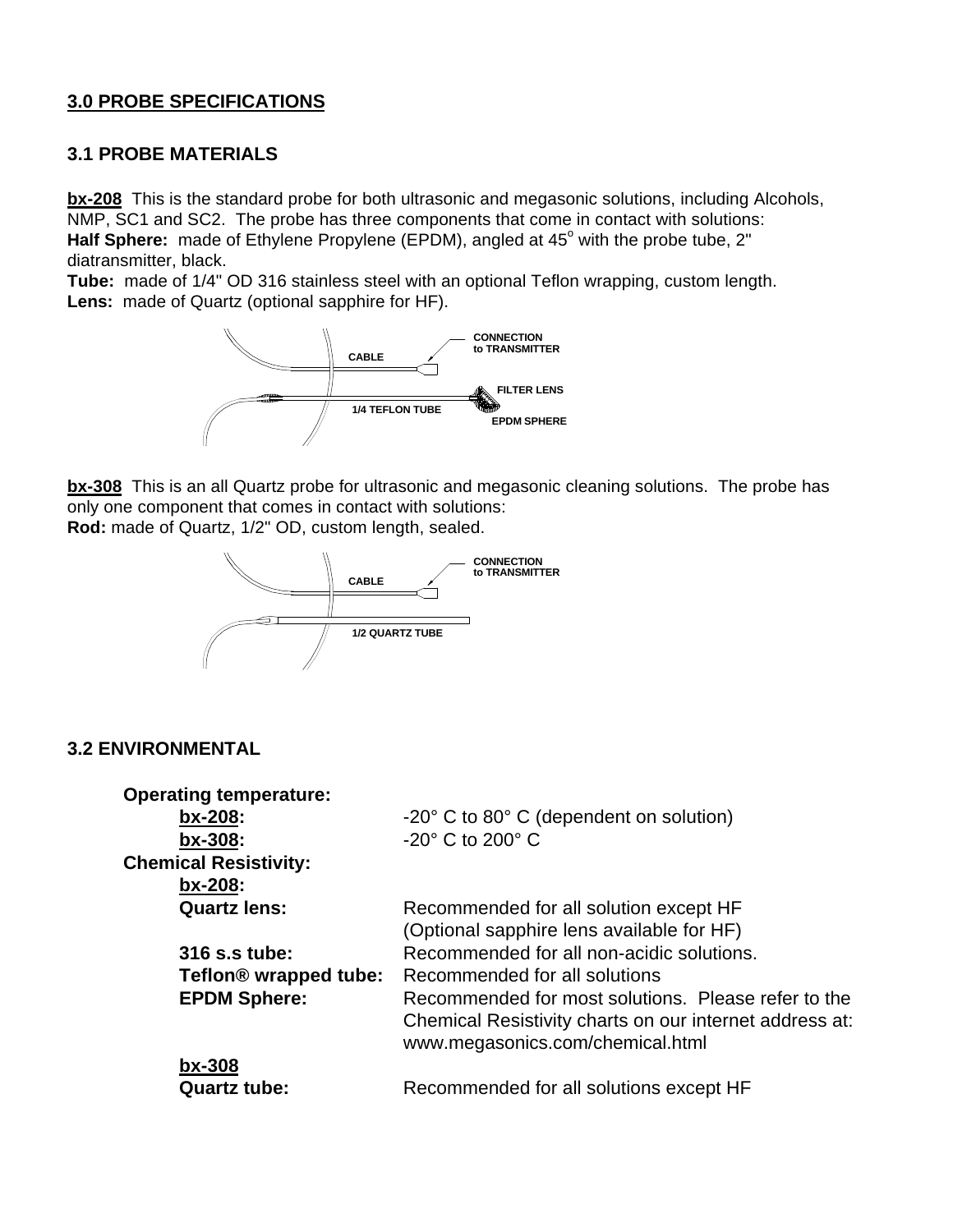#### **3.0 PROBE SPECIFICATIONS**

#### **3.1 PROBE MATERIALS**

**bx-208** This is the standard probe for both ultrasonic and megasonic solutions, including Alcohols, NMP, SC1 and SC2. The probe has three components that come in contact with solutions: Half Sphere: made of Ethylene Propylene (EPDM), angled at 45° with the probe tube, 2" diatransmitter, black.

**Tube:** made of 1/4" OD 316 stainless steel with an optional Teflon wrapping, custom length. **Lens:** made of Quartz (optional sapphire for HF).



**bx-308** This is an all Quartz probe for ultrasonic and megasonic cleaning solutions. The probe has only one component that comes in contact with solutions:

**Rod:** made of Quartz, 1/2" OD, custom length, sealed.



#### **3.2 ENVIRONMENTAL**

| <b>Operating temperature:</b>     |                                                                                             |
|-----------------------------------|---------------------------------------------------------------------------------------------|
| bx-208:                           | -20° C to 80° C (dependent on solution)                                                     |
| bx-308:                           | $-20^\circ$ C to 200 $^\circ$ C                                                             |
| <b>Chemical Resistivity:</b>      |                                                                                             |
| bx-208:                           |                                                                                             |
| <b>Quartz lens:</b>               | Recommended for all solution except HF                                                      |
|                                   | (Optional sapphire lens available for HF)                                                   |
| 316 s.s tube:                     | Recommended for all non-acidic solutions.                                                   |
| Teflon <sup>®</sup> wrapped tube: | Recommended for all solutions                                                               |
| <b>EPDM Sphere:</b>               | Recommended for most solutions. Please refer to the                                         |
|                                   | Chemical Resistivity charts on our internet address at:<br>www.megasonics.com/chemical.html |
| $bx-308$                          |                                                                                             |
| <b>Quartz tube:</b>               | Recommended for all solutions except HF                                                     |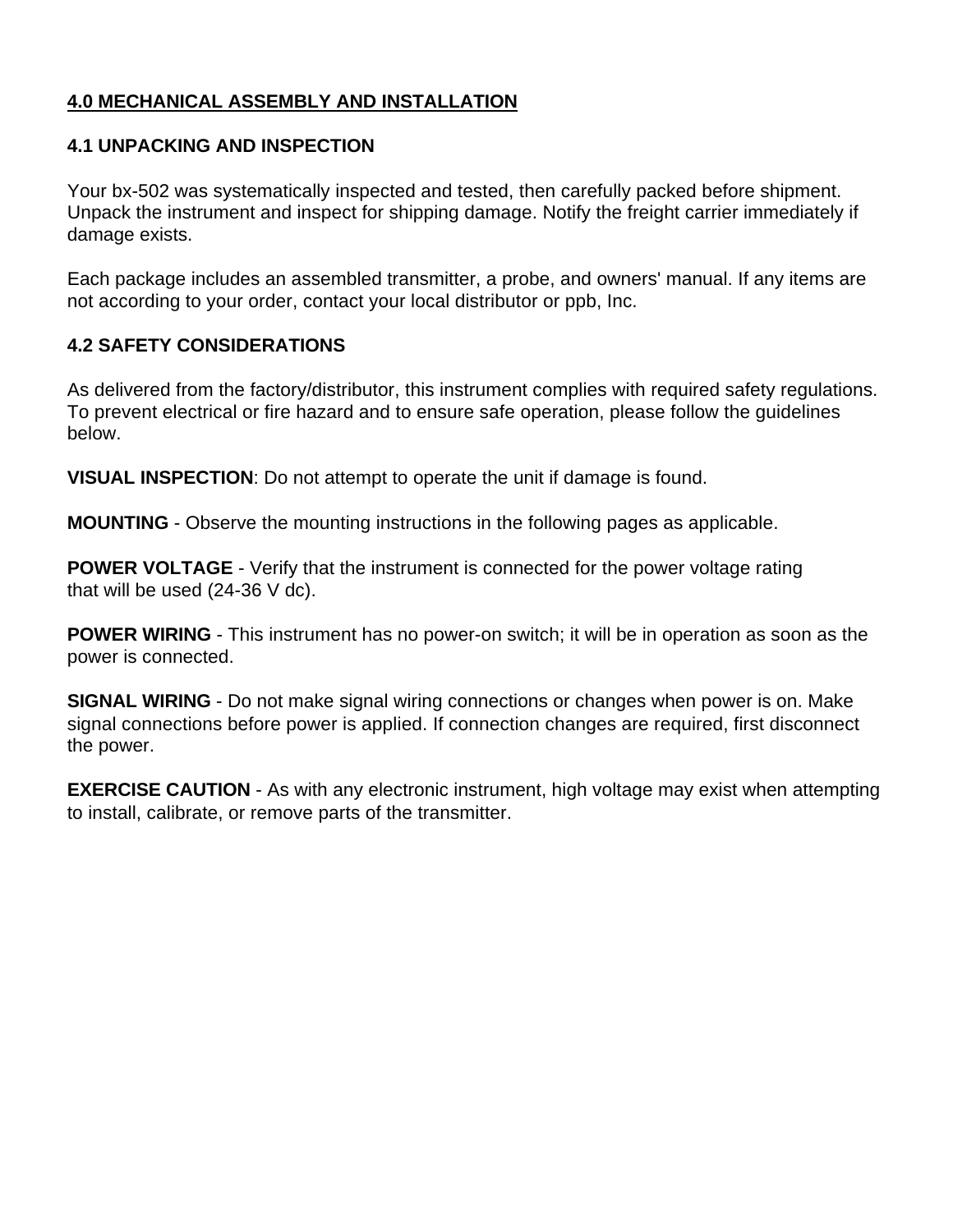## **4.0 MECHANICAL ASSEMBLY AND INSTALLATION**

#### **4.1 UNPACKING AND INSPECTION**

Your bx-502 was systematically inspected and tested, then carefully packed before shipment. Unpack the instrument and inspect for shipping damage. Notify the freight carrier immediately if damage exists.

Each package includes an assembled transmitter, a probe, and owners' manual. If any items are not according to your order, contact your local distributor or ppb, Inc.

#### **4.2 SAFETY CONSIDERATIONS**

As delivered from the factory/distributor, this instrument complies with required safety regulations. To prevent electrical or fire hazard and to ensure safe operation, please follow the guidelines below.

**VISUAL INSPECTION**: Do not attempt to operate the unit if damage is found.

**MOUNTING** - Observe the mounting instructions in the following pages as applicable.

**POWER VOLTAGE** - Verify that the instrument is connected for the power voltage rating that will be used (24-36 V dc).

**POWER WIRING** - This instrument has no power-on switch; it will be in operation as soon as the power is connected.

**SIGNAL WIRING** - Do not make signal wiring connections or changes when power is on. Make signal connections before power is applied. If connection changes are required, first disconnect the power.

**EXERCISE CAUTION** - As with any electronic instrument, high voltage may exist when attempting to install, calibrate, or remove parts of the transmitter.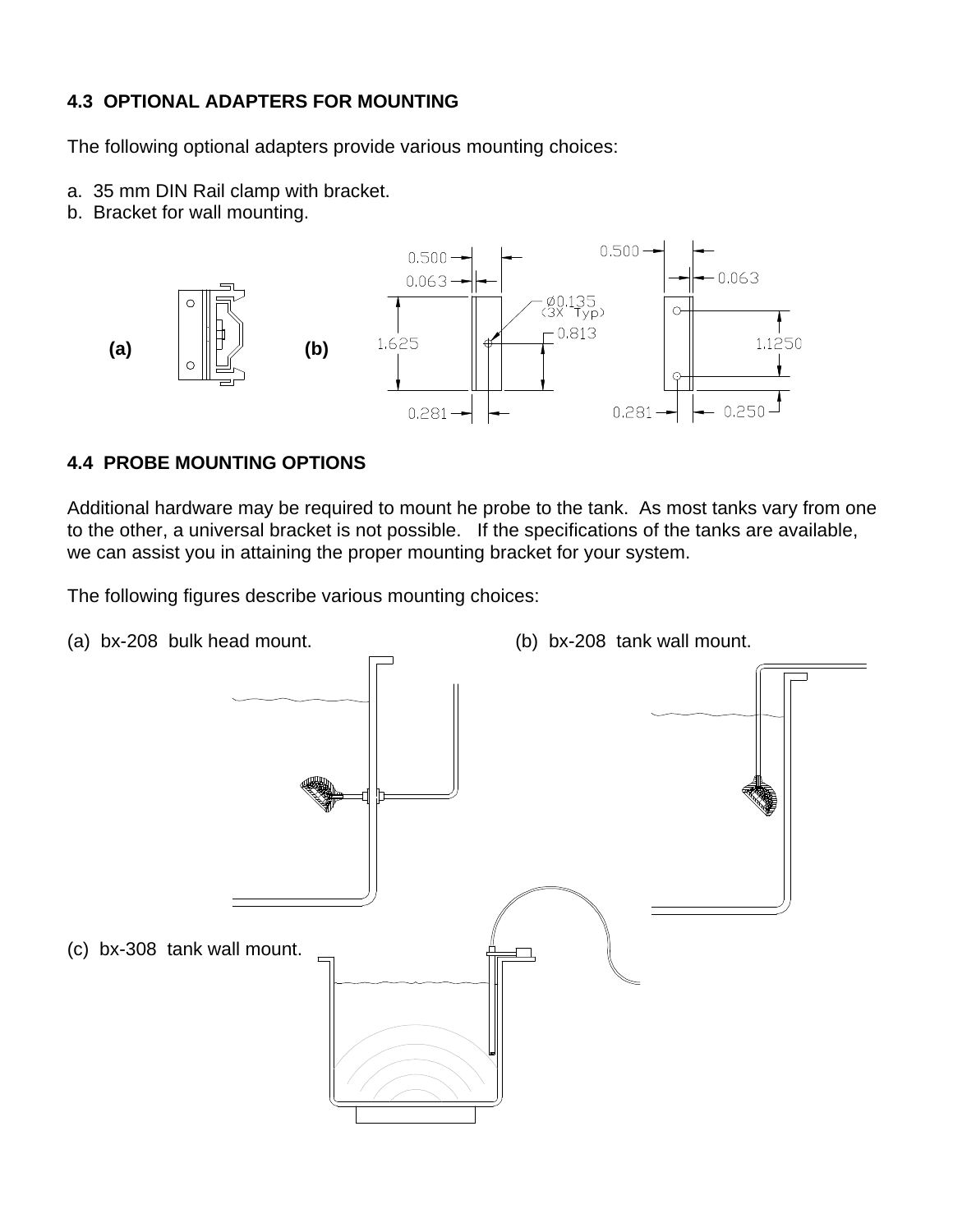### **4.3 OPTIONAL ADAPTERS FOR MOUNTING**

The following optional adapters provide various mounting choices:

- a. 35 mm DIN Rail clamp with bracket.
- b. Bracket for wall mounting.



#### **4.4 PROBE MOUNTING OPTIONS**

Additional hardware may be required to mount he probe to the tank. As most tanks vary from one to the other, a universal bracket is not possible. If the specifications of the tanks are available, we can assist you in attaining the proper mounting bracket for your system.

The following figures describe various mounting choices:

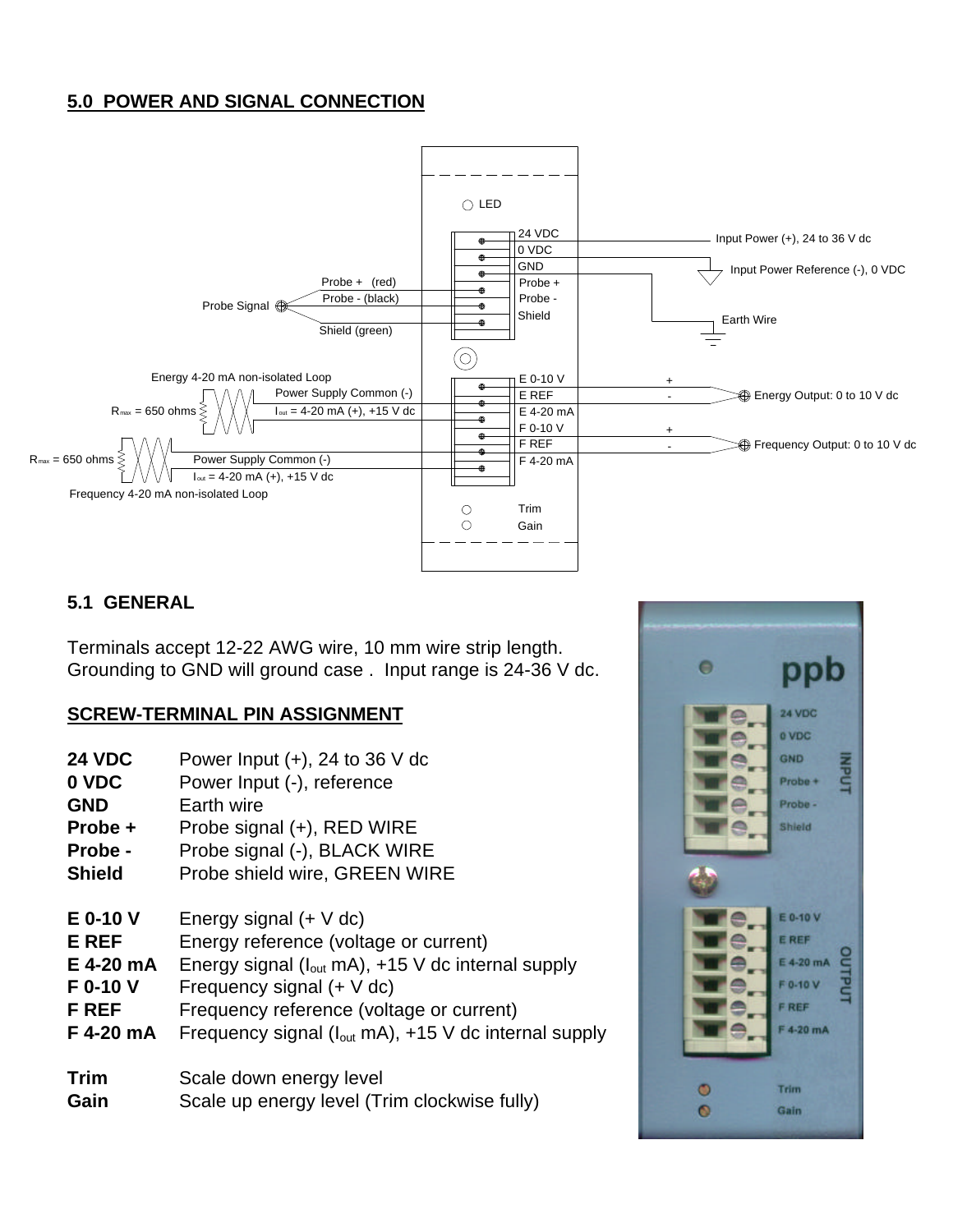## **5.0 POWER AND SIGNAL CONNECTION**



#### **5.1 GENERAL**

Terminals accept 12-22 AWG wire, 10 mm wire strip length. Grounding to GND will ground case . Input range is 24-36 V dc.

#### **SCREW-TERMINAL PIN ASSIGNMENT**

- **24 VDC** Power Input (+), 24 to 36 V dc
- **0 VDC** Power Input (-), reference
- **GND** Earth wire
- **Probe +** Probe signal (+), RED WIRE
- **Probe** Probe signal (-), BLACK WIRE
- **Shield** Probe shield wire, GREEN WIRE
- **E 0-10 V** Energy signal (+ V dc)
- **E REF** Energy reference (voltage or current)
- **E 4-20 mA** Energy signal (Iout mA), +15 V dc internal supply
- **F 0-10 V** Frequency signal (+ V dc)
- **F REF** Frequency reference (voltage or current)
- **F 4-20 mA** Frequency signal ( $I_{out}$  mA), +15 V dc internal supply
- **Trim** Scale down energy level **Gain** Scale up energy level (Trim clockwise fully)

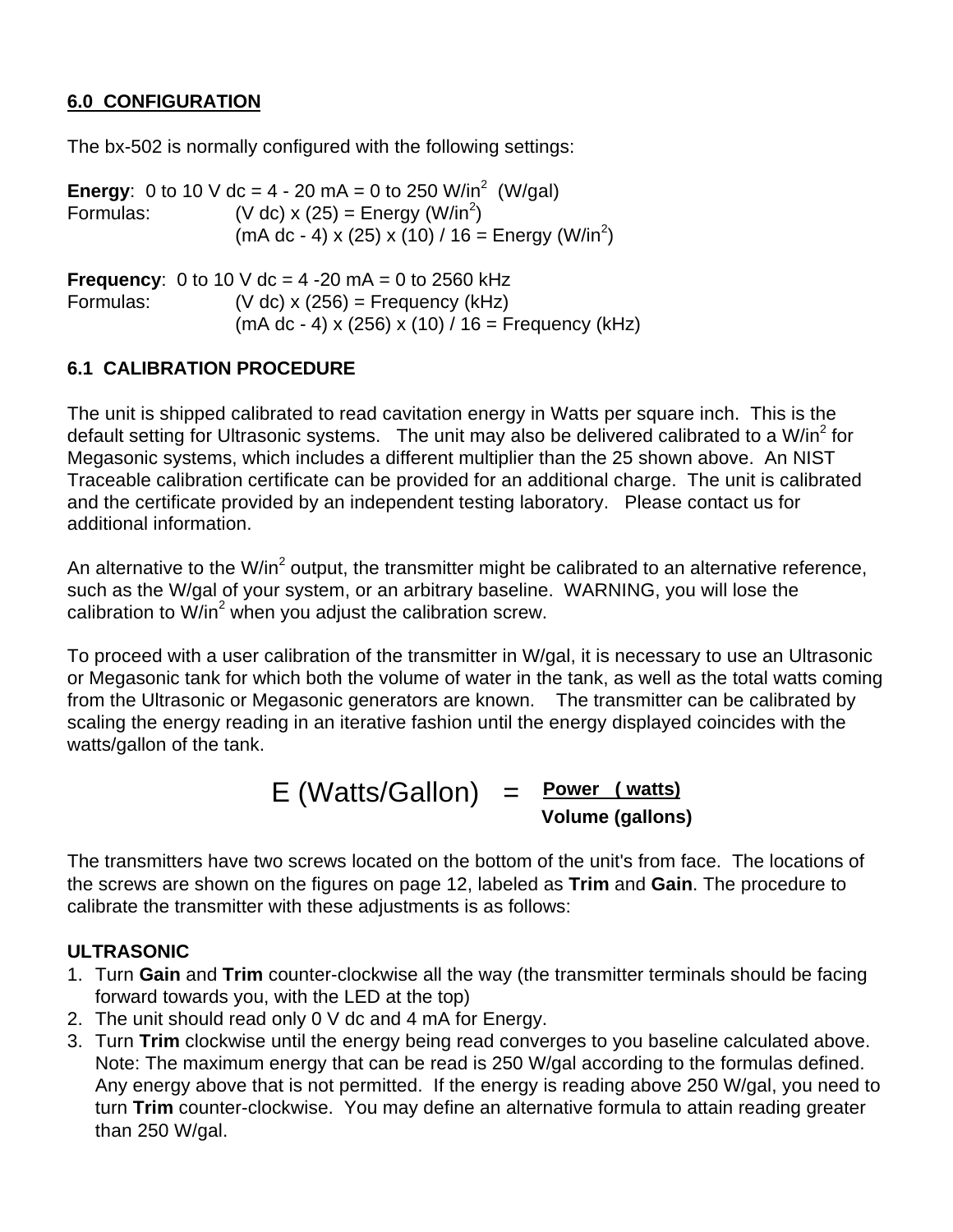## **6.0 CONFIGURATION**

The bx-502 is normally configured with the following settings:

**Energy**: 0 to 10 V dc = 4 - 20 mA = 0 to 250 W/in<sup>2</sup> (W/gal) Formulas:  $(V \, \text{dc}) \times (25) = \text{Energy} (W/\text{in}^2)$  $(mA dc - 4) \times (25) \times (10) / 16 =$  Energy (W/in<sup>2</sup>) **Frequency**: 0 to 10 V dc = 4 -20 mA = 0 to 2560 kHz Formulas:(V dc) x (256) = Frequency (kHz) (mA dc - 4) x (256) x (10) / 16 = Frequency (kHz)

## **6.1 CALIBRATION PROCEDURE**

The unit is shipped calibrated to read cavitation energy in Watts per square inch. This is the default setting for Ultrasonic systems. The unit may also be delivered calibrated to a W/in<sup>2</sup> for Megasonic systems, which includes a different multiplier than the 25 shown above. An NIST Traceable calibration certificate can be provided for an additional charge. The unit is calibrated and the certificate provided by an independent testing laboratory. Please contact us for additional information.

An alternative to the W/in<sup>2</sup> output, the transmitter might be calibrated to an alternative reference, such as the W/gal of your system, or an arbitrary baseline. WARNING, you will lose the calibration to W/in $^2$  when you adjust the calibration screw.

To proceed with a user calibration of the transmitter in W/gal, it is necessary to use an Ultrasonic or Megasonic tank for which both the volume of water in the tank, as well as the total watts coming from the Ultrasonic or Megasonic generators are known. The transmitter can be calibrated by scaling the energy reading in an iterative fashion until the energy displayed coincides with the watts/gallon of the tank.

# E (Watts/Gallon) = **Power ( watts) Volume (gallons)**

The transmitters have two screws located on the bottom of the unit's from face. The locations of the screws are shown on the figures on page 12, labeled as **Trim** and **Gain**. The procedure to calibrate the transmitter with these adjustments is as follows:

#### **ULTRASONIC**

- 1. Turn **Gain** and **Trim** counter-clockwise all the way (the transmitter terminals should be facing forward towards you, with the LED at the top)
- 2. The unit should read only 0 V dc and 4 mA for Energy.
- 3. Turn **Trim** clockwise until the energy being read converges to you baseline calculated above. Note: The maximum energy that can be read is 250 W/gal according to the formulas defined. Any energy above that is not permitted. If the energy is reading above 250 W/gal, you need to turn **Trim** counter-clockwise. You may define an alternative formula to attain reading greater than 250 W/gal.